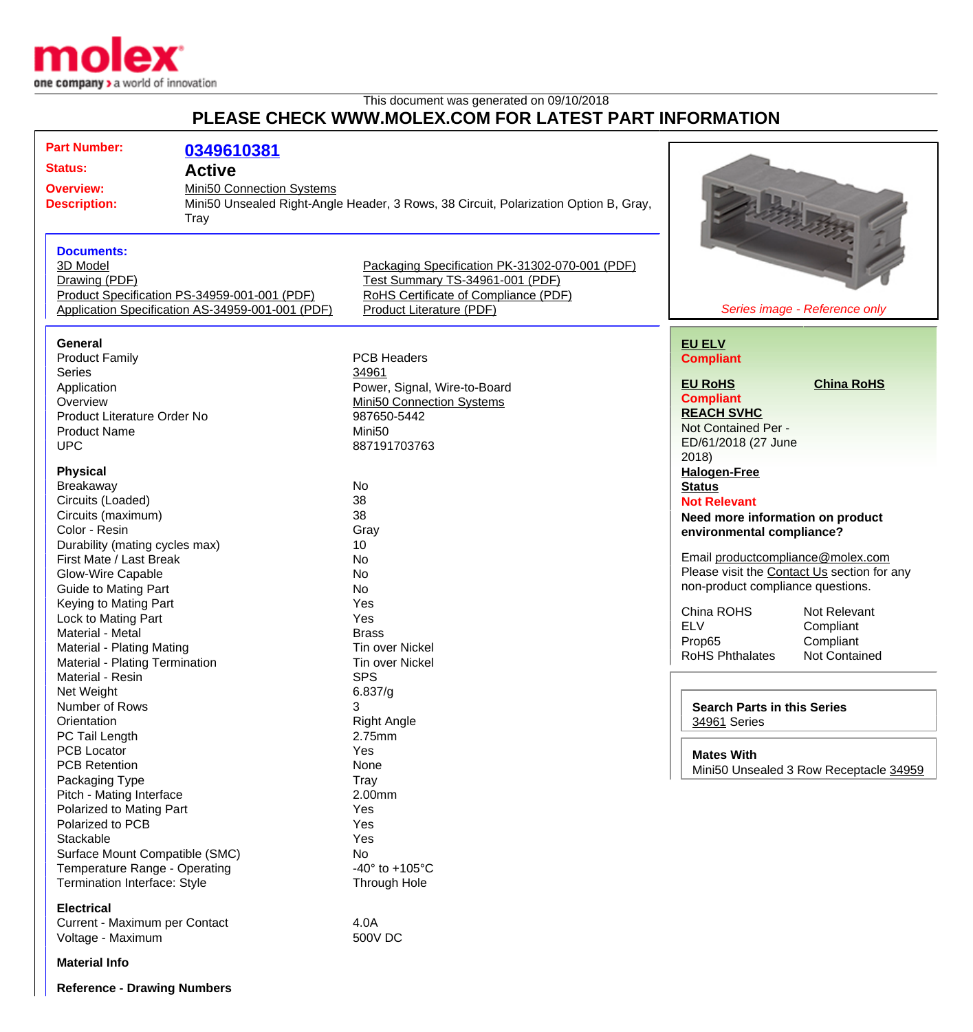

## This document was generated on 09/10/2018 **PLEASE CHECK WWW.MOLEX.COM FOR LATEST PART INFORMATION**

| <b>Part Number:</b>                              | 0349610381                                   |                                                                                      |                                                                                                    |                                        |
|--------------------------------------------------|----------------------------------------------|--------------------------------------------------------------------------------------|----------------------------------------------------------------------------------------------------|----------------------------------------|
|                                                  |                                              |                                                                                      |                                                                                                    |                                        |
| <b>Status:</b><br><b>Active</b>                  |                                              |                                                                                      |                                                                                                    |                                        |
| <b>Overview:</b>                                 | Mini50 Connection Systems                    |                                                                                      |                                                                                                    |                                        |
| <b>Description:</b>                              |                                              | Mini50 Unsealed Right-Angle Header, 3 Rows, 38 Circuit, Polarization Option B, Gray, |                                                                                                    |                                        |
| <b>Tray</b>                                      |                                              |                                                                                      |                                                                                                    |                                        |
|                                                  |                                              |                                                                                      |                                                                                                    |                                        |
| <b>Documents:</b>                                |                                              |                                                                                      |                                                                                                    |                                        |
| 3D Model                                         |                                              | Packaging Specification PK-31302-070-001 (PDF)                                       |                                                                                                    |                                        |
| Drawing (PDF)                                    |                                              | Test Summary TS-34961-001 (PDF)                                                      |                                                                                                    |                                        |
|                                                  | Product Specification PS-34959-001-001 (PDF) | RoHS Certificate of Compliance (PDF)                                                 |                                                                                                    |                                        |
| Application Specification AS-34959-001-001 (PDF) |                                              | Product Literature (PDF)                                                             |                                                                                                    | Series image - Reference only          |
|                                                  |                                              |                                                                                      |                                                                                                    |                                        |
| <b>General</b>                                   |                                              |                                                                                      | <b>EU ELV</b>                                                                                      |                                        |
| <b>Product Family</b>                            |                                              | <b>PCB Headers</b>                                                                   | <b>Compliant</b>                                                                                   |                                        |
| <b>Series</b>                                    |                                              | 34961                                                                                |                                                                                                    |                                        |
| Application                                      |                                              | Power, Signal, Wire-to-Board                                                         | <b>EU RoHS</b>                                                                                     | <b>China RoHS</b>                      |
| Overview                                         |                                              | <b>Mini50 Connection Systems</b>                                                     | <b>Compliant</b>                                                                                   |                                        |
| Product Literature Order No                      |                                              | 987650-5442                                                                          | <b>REACH SVHC</b>                                                                                  |                                        |
| <b>Product Name</b>                              |                                              | Mini <sub>50</sub>                                                                   | Not Contained Per -                                                                                |                                        |
| <b>UPC</b>                                       |                                              | 887191703763                                                                         | ED/61/2018 (27 June                                                                                |                                        |
|                                                  |                                              |                                                                                      | 2018)                                                                                              |                                        |
| <b>Physical</b>                                  |                                              |                                                                                      | <b>Halogen-Free</b>                                                                                |                                        |
| Breakaway                                        |                                              | No                                                                                   | <b>Status</b>                                                                                      |                                        |
| Circuits (Loaded)                                |                                              | 38                                                                                   | <b>Not Relevant</b>                                                                                |                                        |
| Circuits (maximum)                               |                                              | 38                                                                                   |                                                                                                    |                                        |
|                                                  |                                              |                                                                                      | Need more information on product<br>environmental compliance?<br>Email productcompliance@molex.com |                                        |
| Color - Resin                                    |                                              | Gray                                                                                 |                                                                                                    |                                        |
| Durability (mating cycles max)                   |                                              | 10                                                                                   |                                                                                                    |                                        |
| First Mate / Last Break                          |                                              | No                                                                                   | Please visit the Contact Us section for any<br>non-product compliance questions.                   |                                        |
| Glow-Wire Capable                                |                                              | No                                                                                   |                                                                                                    |                                        |
| <b>Guide to Mating Part</b>                      |                                              | No                                                                                   |                                                                                                    |                                        |
| Keying to Mating Part                            |                                              | Yes                                                                                  | China ROHS                                                                                         | Not Relevant                           |
| Lock to Mating Part                              |                                              | Yes                                                                                  | <b>ELV</b>                                                                                         | Compliant                              |
| Material - Metal                                 |                                              | <b>Brass</b>                                                                         | Prop65                                                                                             | Compliant                              |
| Material - Plating Mating                        |                                              | <b>Tin over Nickel</b>                                                               | <b>RoHS Phthalates</b>                                                                             | <b>Not Contained</b>                   |
| Material - Plating Termination                   |                                              | <b>Tin over Nickel</b>                                                               |                                                                                                    |                                        |
| Material - Resin                                 |                                              | <b>SPS</b>                                                                           |                                                                                                    |                                        |
| Net Weight                                       |                                              | 6.837/g                                                                              |                                                                                                    |                                        |
| Number of Rows                                   |                                              | 3                                                                                    | <b>Search Parts in this Series</b>                                                                 |                                        |
| Orientation                                      |                                              | <b>Right Angle</b>                                                                   | 34961 Series                                                                                       |                                        |
| PC Tail Length                                   |                                              | 2.75mm                                                                               |                                                                                                    |                                        |
| <b>PCB Locator</b>                               |                                              | Yes                                                                                  | <b>Mates With</b>                                                                                  |                                        |
| <b>PCB Retention</b>                             |                                              | None                                                                                 |                                                                                                    | Mini50 Unsealed 3 Row Receptacle 34959 |
| Packaging Type                                   |                                              | Tray                                                                                 |                                                                                                    |                                        |
| Pitch - Mating Interface                         |                                              | 2.00mm                                                                               |                                                                                                    |                                        |
| Polarized to Mating Part                         |                                              | Yes                                                                                  |                                                                                                    |                                        |
| Polarized to PCB                                 |                                              | Yes                                                                                  |                                                                                                    |                                        |
| Stackable                                        |                                              | Yes                                                                                  |                                                                                                    |                                        |
| Surface Mount Compatible (SMC)                   |                                              | No                                                                                   |                                                                                                    |                                        |
| Temperature Range - Operating                    |                                              | -40 $\degree$ to +105 $\degree$ C                                                    |                                                                                                    |                                        |
| Termination Interface: Style                     |                                              | <b>Through Hole</b>                                                                  |                                                                                                    |                                        |
|                                                  |                                              |                                                                                      |                                                                                                    |                                        |
| <b>Electrical</b>                                |                                              |                                                                                      |                                                                                                    |                                        |
| Current - Maximum per Contact                    |                                              | 4.0A                                                                                 |                                                                                                    |                                        |
| Voltage - Maximum                                |                                              | 500V DC                                                                              |                                                                                                    |                                        |
| <b>Material Info</b>                             |                                              |                                                                                      |                                                                                                    |                                        |
| <b>Reference - Drawing Numbers</b>               |                                              |                                                                                      |                                                                                                    |                                        |
|                                                  |                                              |                                                                                      |                                                                                                    |                                        |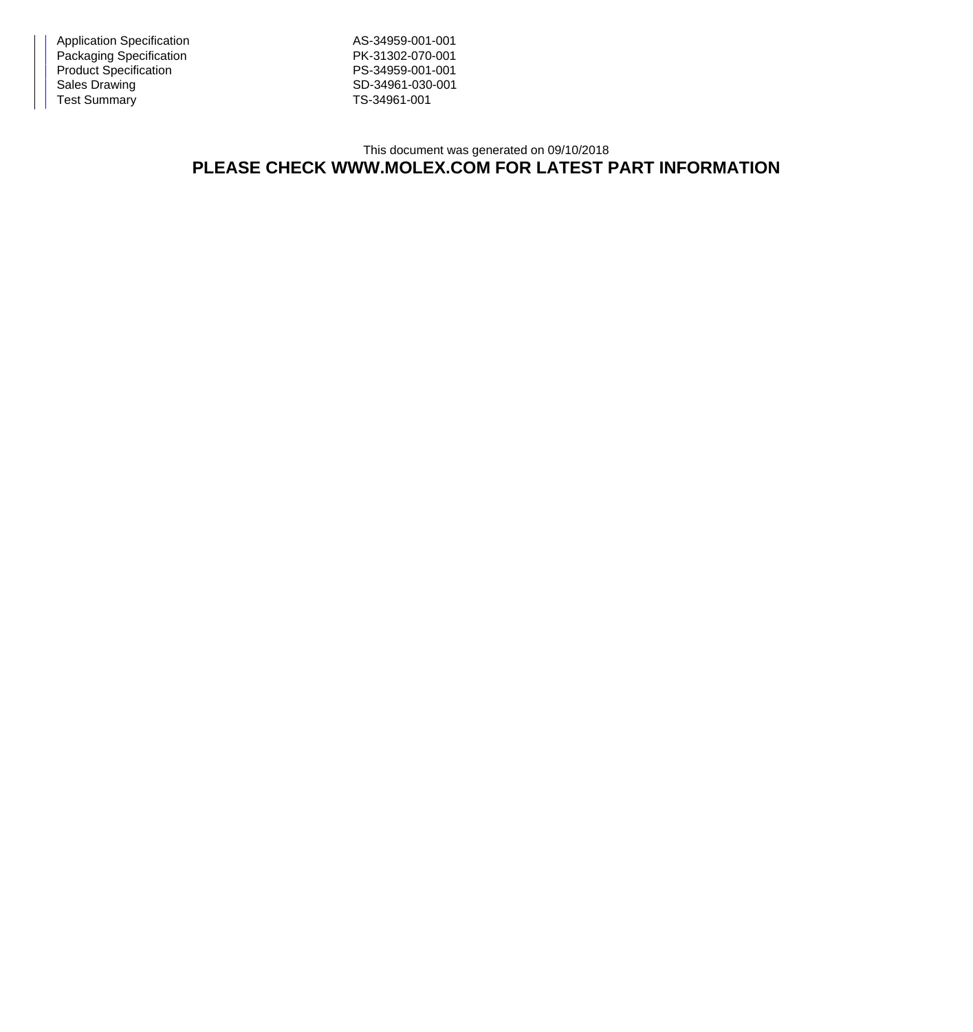Application Specification AS-34959-001-001 Packaging Specification **PK-31302-070-001** Product Specification PS-34959-001-001<br>
Sales Drawing PS-34961-030-001 Test Summary TS-34961-001

SD-34961-030-001

## This document was generated on 09/10/2018 **PLEASE CHECK WWW.MOLEX.COM FOR LATEST PART INFORMATION**